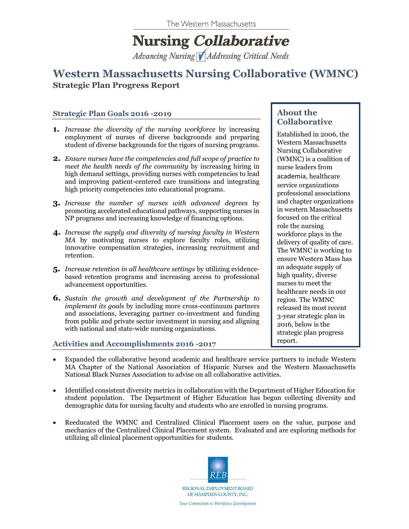# **Nursing Collaborative**

Advancing Nursing Addressing Critical Needs

# **Western Massachusetts Nursing Collaborative (WMNC) Strategic Plan Progress Report**

#### **Strategic Plan Goals 2016 -2019**

- **1.** *Increase the diversity of the nursing workforce* by increasing employment of nurses of diverse backgrounds and preparing student of diverse backgrounds for the rigors of nursing programs.
- **2.** *Ensure nurses have the competencies and full scope of practice to meet the health needs of the community* by increasing hiring in high demand settings, providing nurses with competencies to lead and improving patient-centered care transitions and integrating high priority competencies into educational programs.
- **3.** *Increase the number of nurses with advanced degrees* by promoting accelerated educational pathways, supporting nurses in NP programs and increasing knowledge of financing options.
- **4.** *Increase the supply and diversity of nursing faculty in Western MA* by motivating nurses to explore faculty roles, utilizing innovative compensation strategies, increasing recruitment and retention.
- **5.** *Increase retention in all healthcare settings* by utilizing evidencebased retention programs and increasing access to professional advancement opportunities.
- **6.** *Sustain the growth and development of the Partnership to implement its goals* by including more cross-continuum partners and associations, leveraging partner co-investment and funding from public and private sector investment in nursing and aligning with national and state-wide nursing organizations.

## Activities and Accomplishments 2016 -2017

### **About the Collaborative**

Established in 2006, the Western Massachusetts Nursing Collaborative (WMNC) is a coalition of nurse leaders from academia, healthcare service organizations professional associations and chapter organizations in western Massachusetts focused on the critical role the nursing workforce plays in the delivery of quality of care. The WMNC is working to ensure Western Mass has an adequate supply of high quality, diverse nurses to meet the healthcare needs in our region. The WMNC released its most recent 3-year strategic plan in 2016, below is the strategic plan progress

- Expanded the collaborative beyond academic and healthcare service partners to include Western MA Chapter of the National Association of Hispanic Nurses and the Western Massachusetts National Black Nurses Association to advise on all collaborative activities.
- Identified consistent diversity metrics in collaboration with the Department of Higher Education for student population. The Department of Higher Education has begun collecting diversity and demographic data for nursing faculty and students who are enrolled in nursing programs.
- Reeducated the WMNC and Centralized Clinical Placement users on the value, purpose and mechanics of the Centralized Clinical Placement system. Evaluated and are exploring methods for utilizing all clinical placement opportunities for students.